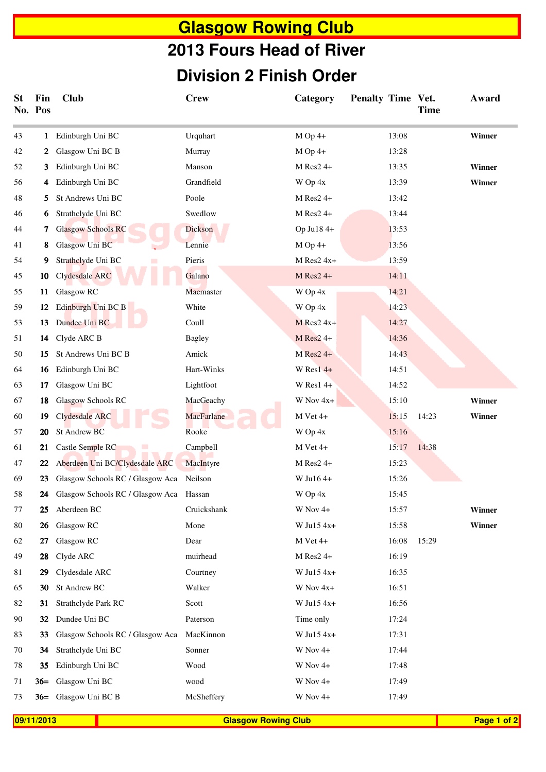## **Glasgow Rowing Club Division 2 Finish Order 2013 Fours Head of River**

| St | Fin<br>No. Pos                           | <b>Club</b>                         | <b>Crew</b>   | Category                | Penalty Time Vet. | <b>Time</b> | Award       |
|----|------------------------------------------|-------------------------------------|---------------|-------------------------|-------------------|-------------|-------------|
| 43 | 1                                        | Edinburgh Uni BC                    | Urquhart      | $M$ Op 4+               | 13:08             |             | Winner      |
| 42 | 2                                        | Glasgow Uni BC B                    | Murray        | $M$ Op 4+               | 13:28             |             |             |
| 52 | 3.                                       | Edinburgh Uni BC                    | Manson        | $M$ Res2 4+             | 13:35             |             | Winner      |
| 56 | 4                                        | Edinburgh Uni BC                    | Grandfield    | W Op 4x                 | 13:39             |             | Winner      |
| 48 | 5.                                       | St Andrews Uni BC                   | Poole         | $M$ Res2 4+             | 13:42             |             |             |
| 46 | 6                                        | Strathclyde Uni BC                  | Swedlow       | M Res2 4+               | 13:44             |             |             |
| 44 | 7                                        | <b>Glasgow Schools RC</b>           | Dickson       | Op Ju18 4+              | 13:53             |             |             |
| 41 | 8                                        | Glasgow Uni BC                      | Lennie        | $M$ Op 4+               | 13:56             |             |             |
| 54 | 9.                                       | Strathclyde Uni BC                  | Pieris        | $M$ Res2 4x+            | 13:59             |             |             |
| 45 | 10                                       | Clydesdale ARC                      | Galano        | M Res2 4+               | 14:11             |             |             |
| 55 | 11                                       | Glasgow RC                          | Macmaster     | W Op 4x                 | 14:21             |             |             |
| 59 | 12                                       | Edinburgh Uni BC B                  | White         | W Op 4x                 | 14:23             |             |             |
| 53 | 13                                       | Dundee Uni BC                       | Coull         | $M$ Res2 4x+            | 14:27             |             |             |
| 51 | 14                                       | Clyde ARC B                         | <b>Bagley</b> | $M$ Res <sub>2</sub> 4+ | 14:36             |             |             |
| 50 | 15                                       | St Andrews Uni BC B                 | Amick         | $M$ Res2 4+             | 14:43             |             |             |
| 64 | 16                                       | Edinburgh Uni BC                    | Hart-Winks    | W Res $14+$             | 14:51             |             |             |
| 63 | 17                                       | Glasgow Uni BC                      | Lightfoot     | $W$ Res1 4+             | 14:52             |             |             |
| 67 | 18                                       | Glasgow Schools RC                  | MacGeachy     | W Nov 4x+               | 15:10             |             | Winner      |
| 60 | 19                                       | Clydesdale ARC                      | MacFarlane    | M Vet 4+                | 15:15             | 14:23       | Winner      |
| 57 | 20                                       | <b>St Andrew BC</b>                 | Rooke         | W Op 4x                 | 15:16             |             |             |
| 61 | 21                                       | Castle Semple RC                    | Campbell      | M Vet 4+                | 15:17             | 14:38       |             |
| 47 | 22                                       | Aberdeen Uni BC/Clydesdale ARC      | MacIntyre     | $M$ Res2 4+             | 15:23             |             |             |
| 69 | 23                                       | Glasgow Schools RC / Glasgow Aca    | Neilson       | W Ju16 4+               | 15:26             |             |             |
| 58 |                                          | 24 Glasgow Schools RC / Glasgow Aca | Hassan        | W Op 4x                 | 15:45             |             |             |
| 77 | 25                                       | Aberdeen BC                         | Cruickshank   | W Nov 4+                | 15:57             |             | Winner      |
| 80 | 26                                       | Glasgow RC                          | Mone          | W Ju15 4x+              | 15:58             |             | Winner      |
| 62 | 27                                       | Glasgow RC                          | Dear          | M Vet 4+                | 16:08             | 15:29       |             |
| 49 | 28                                       | Clyde ARC                           | muirhead      | $M$ Res2 4+             | 16:19             |             |             |
| 81 | 29                                       | Clydesdale ARC                      | Courtney      | W Ju15 $4x+$            | 16:35             |             |             |
| 65 | 30                                       | St Andrew BC                        | Walker        | W Nov 4x+               | 16:51             |             |             |
| 82 | 31                                       | Strathclyde Park RC                 | Scott         | W Ju15 $4x+$            | 16:56             |             |             |
| 90 | 32                                       | Dundee Uni BC                       | Paterson      | Time only               | 17:24             |             |             |
| 83 | 33                                       | Glasgow Schools RC / Glasgow Aca    | MacKinnon     | W Ju15 4x+              | 17:31             |             |             |
| 70 | 34                                       | Strathclyde Uni BC                  | Sonner        | W Nov 4+                | 17:44             |             |             |
| 78 | 35                                       | Edinburgh Uni BC                    | Wood          | $W$ Nov 4+              | 17:48             |             |             |
| 71 |                                          | 36= Glasgow Uni BC                  | wood          | W Nov 4+                | 17:49             |             |             |
| 73 |                                          | 36= Glasgow Uni BC B                | McSheffery    | W Nov 4+                | 17:49             |             |             |
|    | 09/11/2013<br><b>Glasgow Rowing Club</b> |                                     |               |                         |                   |             | Page 1 of 2 |